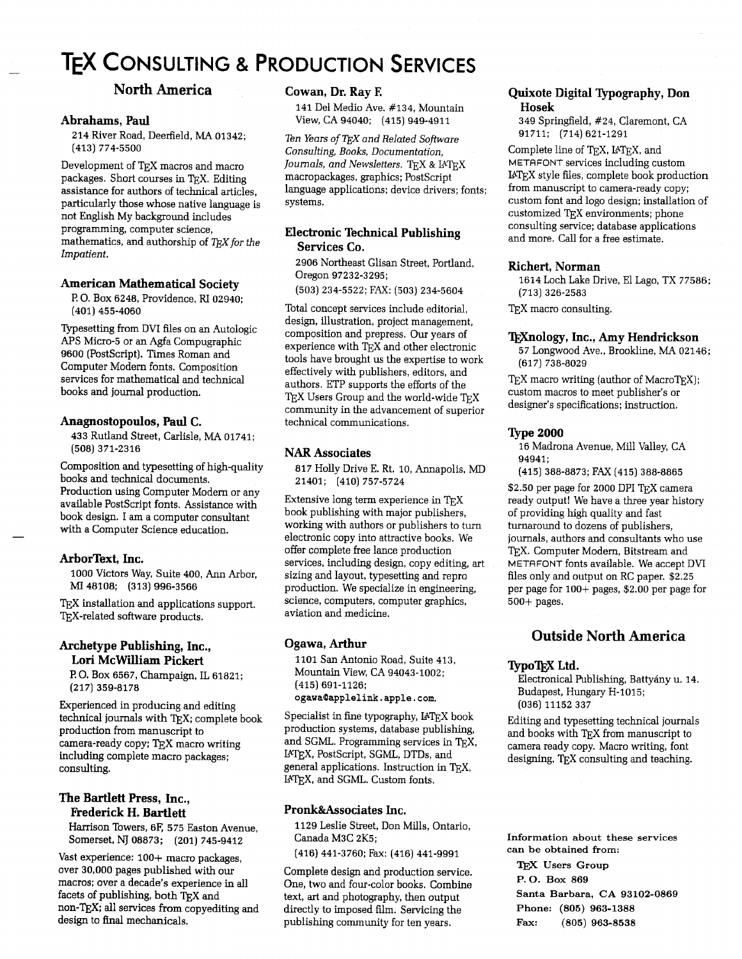# **TEX CONSULTING & PRODUCTION SERVICES**

## **North America**

#### **Abrahams, Paul**

214 River Road, Deerfield, MA 01342; (413) 774-5500

Development of TEX macros and macro packages. Short courses in TEX. Editing assistance for authors of technical articles, particularly those whose native language is not English My background includes programming, computer science, mathematics, and authorship of TFX for the *Impatient.* 

#### **American Mathematical Society**

**I?** 0. Box 6248, Providence, RI 02940; (401) 455-4060

Typesetting from DVI files on an Autologic APS Micro-5 or an Agfa Compugraphic 9600 (PostScript). Times Roman and Computer Modern fonts. Composition services for mathematical and technical books and journal production.

#### **Anagnostopoulos, Paul C.**

433 Rutland Street, Carlisle, MA 01741; (508) 371-2316

Composition and typesetting of high-quality books and technical documents. Production using Computer Modern or any available PostScript fonts. Assistance with book design. I am a computer consultant with a Computer Science education.

#### **ArborText, Inc.**

-

1000 Victors Way, Suite 400, Ann Arbor, 48108; (313) 996-3566

TEX installation and applications support. TEX-related software products.

#### **Archetype Publishing, Inc., Lori McWilliam Pickert**

F? 0. Box 6567, Champaign, IL 61821; (217) 359-8178

Experienced in producing and editing technical journals with TEX; complete book production from manuscript to camera-ready copy; TEX macro writing including complete macro packages; consulting.

#### **The Bartlett Press, Inc., Frederick H. Bartlett**

Harrison Towers, 6F, 575 Easton Avenue, Somerset, NJ 08873; (201) 745-9412

Vast experience:  $100+$  macro packages, over 30,000 pages published with our macros; over a decade's experience in all facets of publishing, both TEX and non-TEX; all services from copyediting and design to final mechanicals.

#### **Cowan, Dr. Ray E**

141 Del Medio Ave. #134, Mountain View, CA 94040; (415) 949-4911

*Ten Years of TEX and Related Software Consulting, Books, Documentation, Journals, and Newsletters.* TEX & IATEX macropackages, graphics; PostScript language applications; device drivers; fonts; systems.

### **Electronic Technical Publishing Services Co.**

2906 Northeast Glisan Street, Portland, Oregon 97232-3295;

(503) 234-5522; FAX: (503) 234-5604

Total concept services include editorial, design, illustration, project management, composition and prepress. Our years of experience with T<sub>E</sub>X and other electronic tools have brought us the expertise to work effectively with publishers, editors, and authors. ETP supports the efforts of the TEX Users Group and the world-wide TEX community in the advancement of superior technical communications.

#### **NAR Associates**

817 Holly Drive E. Rt. 10, Annapolis, MD 21401; (410) 757-5724

Extensive long term experience in  $T_{\text{F}}X$ book publishing with major publishers, working with authors or publishers io turn electronic copy into attractive books. We offer complete free lance production services, including design, copy editing, art sizing and layout, typesetting and repro production. We specialize in engineering, science, computers, computer graphics, aviation and medicine.

#### **Ogawa, Arthur**

1101 San Antonio Road, Suite 413, Mountain View, CA 94043-1002; (415) 691-1126; **ogawac0applelink.apple.com.** 

Specialist in fine typography,  $IATEX$  book production systems, database publishing, and SGML. Programming services in TEX, IATEX, PostScript, SGML, DTDs, and general applications. Instruction in QX, UTEX, and SGML. Custom fonts.

#### **Pronk&Associates Inc.**

1129 Leslie Street, Don Mills, Ontario, Canada M3C 2K5;

(416) 441-3760; Fax: (416) 441-9991

Complete design and production service. One, two and four-color books. Combine text, art and photography, then output directly to imposed film. Servicing the publishing community for ten years.

#### **Quixote Digital Typography, Don Hosek**

349 Springfield, #24, Claremont, CA 91711; (714) 621-1291

Complete line of TEX, IATEX, and METAFONT services including custom UQX style files, complete book production from manuscript to camera-ready copy; custom font and logo design; installation of customized QX environments; phone consulting service; database applications and more. Call for a free estimate.

#### **Richert, Norman**

1614 Loch Lake Drive, El Lago, TX 77586; (713) 326-2583

TEX macro consulting.

#### **lEXnology, Inc., Amy Hendrickson**

57 Longwood Ave., Brookline, MA 02146; (617) 738-8029

 $TEX$  macro writing (author of Macro $TEX$ ); custom macros to meet publisher's or designer's specifications; instruction.

#### **Type 2000**

16 Madrona Avenue, Mill Valley, CA 94941;

(415) 388-8873; FAX (415) 388-8865

\$2.50 per page for 2000 DPI TFX camera ready output! We have a three year history of providing high quality and fast turnaround to dozens of publishers, journals, authors and consultants who use T<sub>E</sub>X. Computer Modern, Bitstream and METRFONT fonts available. We accept DVI files only and output on RC paper. \$2.25 per page for loo+ pages, \$2.00 per page for 500+ pages.

### **Outside North America**

#### **lypoT<sub>F</sub>X** Ltd.

Electronical Publishing, Battyány u. 14. Budapest, Hungary H-1015; (036) 11152 337

Editing and typesetting technical journals and books with TFX from manuscript to camera ready copy. Macro writing, font designing, TEX consulting and teaching.

**Information about these services can be obtained from:** 

**Users Group P. 0. Box** <sup>869</sup> **Santa Barbara, CA** 93102-0869 **Phone:** (805) 963-1388 **Fax:** (805) 963-8538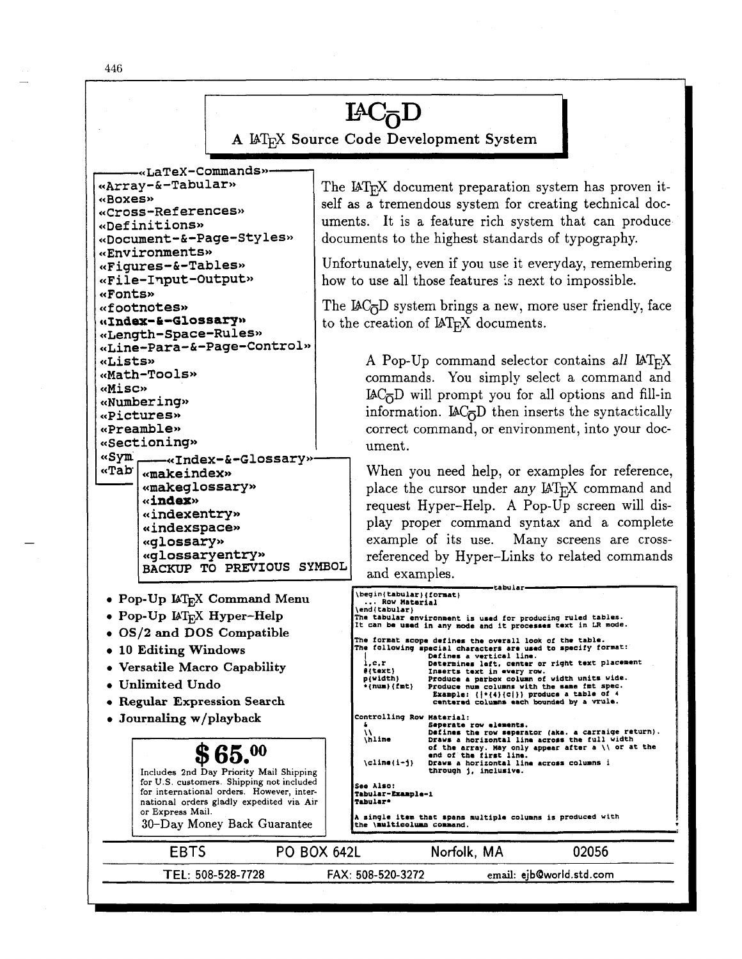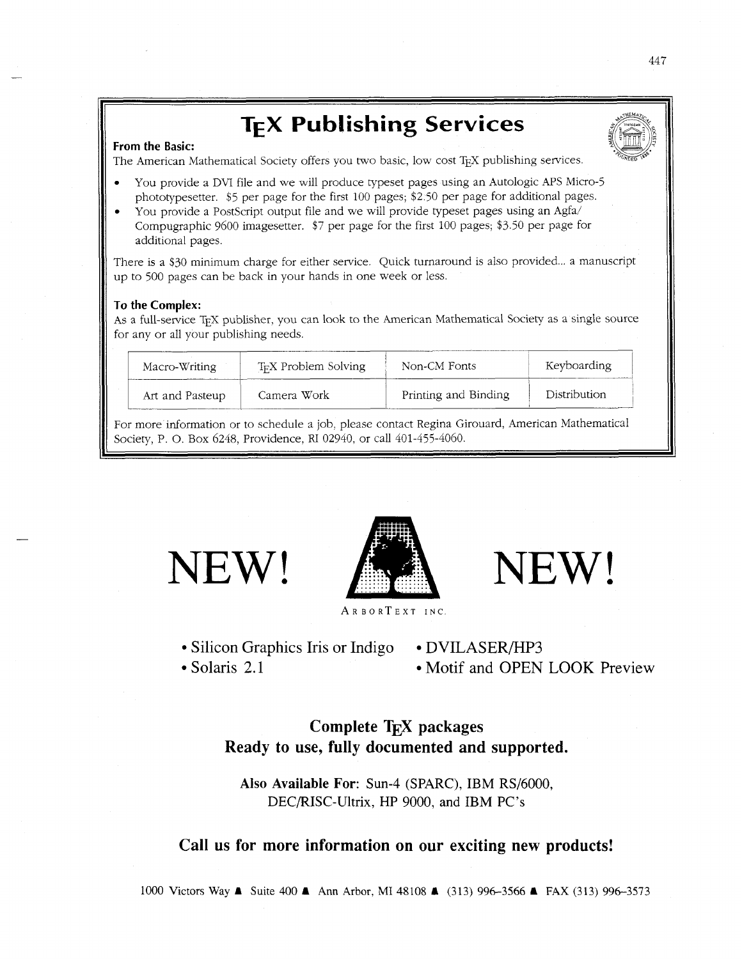# **TEX Publishing Services**

#### **From the Basic:**

The American Mathematical Society offers you two basic, low cost TFX publishing services.

- You provide a DVI file and we will produce typeset pages using an Autologic APS Micro-5 phototypesetter. *\$5* per page for the first *100* pages; *\$2.50* per page for additional pages.
- You provide a PostScript output file and we will provide typeset pages using an Agfa/ Compugraphic *9600* imagesetter. \$7 per page for the first *100* pages; *\$3.50* per page for additional pages.

There is a \$30 minimum charge for either service. Quick turnaround is also provided... a manuscript up to *500* pages can be back in your hands in one week or less.

#### **To the Complex:**

As a full-service TEX publisher, you can look to the American Mathematical Society as a single source for any or all your publishing needs.

| Macro-Writing   | T <sub>F</sub> X Problem Solving | Non-CM Fonts         | Keyboarding  |
|-----------------|----------------------------------|----------------------|--------------|
| Art and Pasteup | Camera Work                      | Printing and Binding | Distribution |

For more information or to schedule a job, please contact Regina Girouard, American Mathematical Society, P. 0. Box *6248,* Providence, RI *02940,* or call *401-455-4060.* 



NEW! A NEW!

ARBORTEXT INC

- Silicon Graphics Iris or Indigo DVILASER/HP3
- 

• Solaris 2.1 Motif and OPEN LOOK Preview

# **Complete TEX packages Ready to use, fully documented and supported.**

Also Available For: Sun-4 (SPARC), IBM RS/6000, DEC/RISC-Ultrix, HP 9000, and IBM PC's

## **Call us for more information on our exciting new products!**

1000 Victors Way A Suite 400 A Ann Arbor, MI 48108 A (313) 996-3566 **A** FAX (313) 996-3573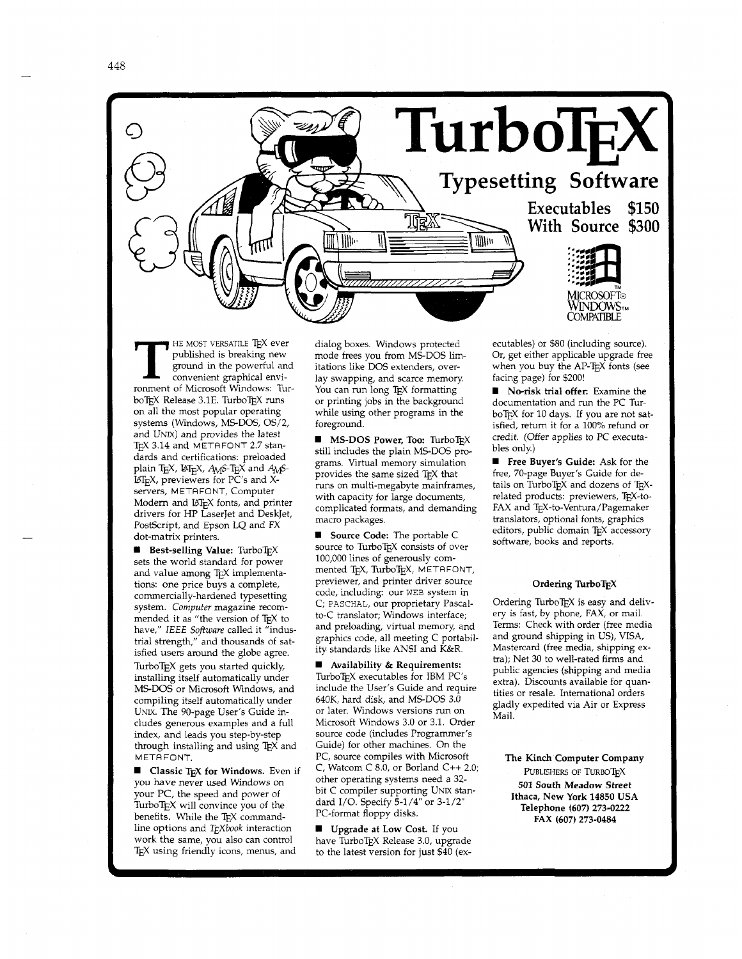



FIE MOST VERSATILE TEX ever published is breaking new ground in the powerful and convenient graphical environment of Microsoft Windows: Turpublished is breaking new ground in the powerful and convenient graphical enviboTEX Release 3.1E. TurboTEX runs on all the most popular operating systems (Windows, MS-DOS, OS/2, and UNIX) and provides the latest TEX 3.14 and METAFONT 2.7 standards and certifications: preloaded plain TEX, L<sub>IF</sub>X, A<sub>M</sub>S-T<sub>E</sub>X and A<sub>M</sub>S-BTEX, previewers for PC's and Xservers, METAFONT, Computer Modern and LATEX fonts, and printer drivers for HP LaserJet and DeskJet, PostScript, and Epson LQ and FX dot-matrix printers.

**Best-selling Value:** TurboTEX sets the world standard for power and value among TEX implementations: one price buys a complete, commercially-hardened typesetting system. *Computer* magazine recommended it as "the version of TEX to have," *IEEE* Software called it "industrial strength," and thousands of satisfied users around the globe agree. TurboTEX gets you started quickly, installing itself automatically under MS-DOS or Microsoft Windows, and compiling itself automatically under UNIX. The 90-page User's Guide includes generous examples and a full index, and leads you step-by-step through installing and using TEX and METAFONT.

**W** Classic T<sub>E</sub>X for Windows. Even if you have never used Windows on your PC, the speed and power of Turbo $T_{F}X$  will convince you of the benefits. While the TEX commandline options and *T<sub>F</sub>Xbook* interaction work the same, you also can control TEX using friendly icons, menus, and

dialog boxes. Windows protected mode frees you from MS-DOS limitations like DOS extenders, overlay swapping, and scarce memory You can run long TEX formatting or printing jobs in the background while using other programs in the foreground.

**WIMS-DOS Power, Too: TurboTEX** still includes the plain MS-DOS programs. Virtual memory simulation provides the same sized TEX that runs on multi-megabyte mainframes, with capacity for large documents, complicated formats, and demanding macro packages.

**W** Source Code: The portable C source to TurboTEX consists of over 100,000 lines of generously commented TEX, TurboTEX, METAFONT, previewer, and printer driver source code, including: our WEB system in C; PASCHAL, our proprietary Pascalto-C translator; Windows interface; and preloading, virtual memory, and graphics code, all meeting C portability standards like ANSI and K&R.

**<sup>W</sup>**Availability & Requirements:  $\mbox{\rm TurboT}\xspace_{\rm E}$  executables for IBM PC's include the User's Guide and require 640K, hard disk, and MS-DOS 3.0 or later. Windows versions run on Microsoft Windows 3.0 or 3.1. Order source code (includes Programmer's Guide) for other machines. On the PC, source compiles with Microsoft C, Watcom C 8.0, or Borland C++ 2.0; other operating systems need a 32 bit C compiler supporting UNIX standard I/O. Specify **5-1/4"** or 3-1/2" PC-format floppy disks.

**W** Upgrade at Low Cost. If you have TurboTEX Release 3.0, upgrade to the latest version for just \$40 (executables) or \$80 (including source). Or, get either applicable upgrade free when you buy the AP-TEX fonts (see facing page) for \$200!

**<sup>W</sup>**No-risk trial offer: Examine the documentation and run the PC Tur boTEX for 10 days. If you are not satisfied, return it for a 100% refund or credit. (Offer applies to PC executables only.)

**W** Free Buyer's Guide: Ask for the free, 70-page Buyer's Guide for details on TurboT $EX$  and dozens of T $EX$ related products: previewers, TEX-to-FAX and TEX-to-Ventura/Pagemaker translators, optional fonts, graphics editors, public domain TEX accessory software, books and reports.

#### Ordering TurboTEX

Ordering TurboT $\overline{K}X$  is easy and delivery is fast, by phone, FAX, or mail. Terms: Check with order (free media and ground shipping in US), VISA, Mastercard (free media, shipping extra); Net 30 to well-rated firms and public agencies (shipping and media extra). Discounts available for quantities or resale. International orders gladly expedited via Air or Express Mail.

The Kinch Computer Company PUBLISHERS OF TURBOTEX 501 South Meadow Street Ithaca, New York **14850** USA Telephone **(607) 273-0222**  FAX **(607) 273-0484**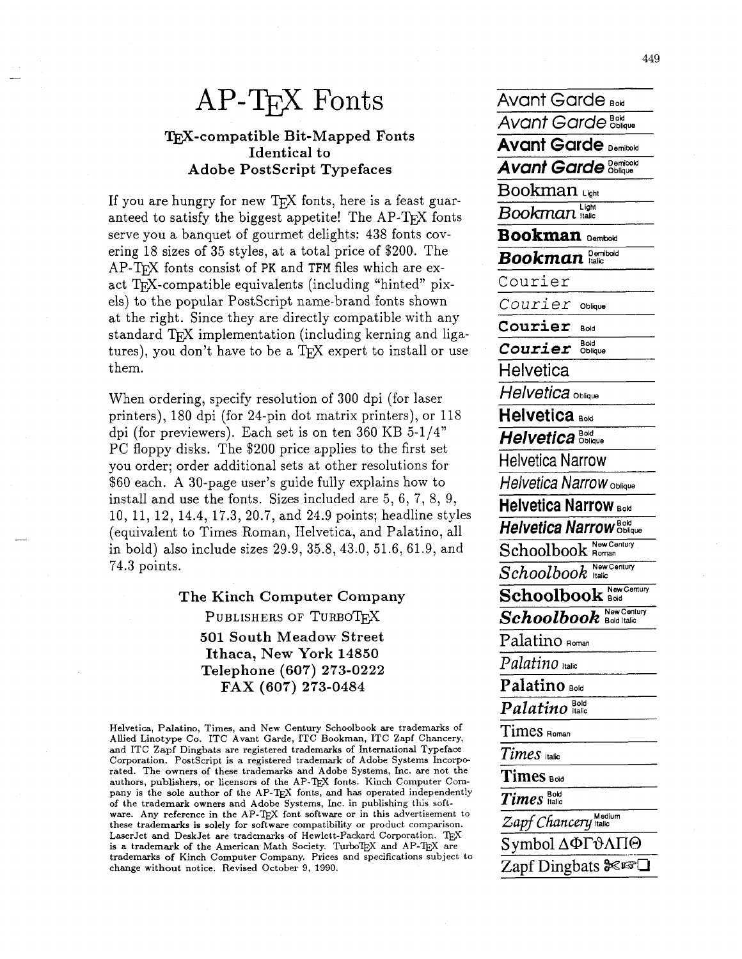# $AP-TrX$  Fonts Avant Garde **Bow**

# **TFX-compatible Bit-Mapped Fonts Identical to Adobe PostScript Typefaces** *Avant Garde* **<b>Demivold**

If you are hungry for new T<sub>F</sub>X fonts, here is a feast guaranteed to satisfy the biggest appetite! The  $AP-TEX$  fonts serve you a banquet of gourmet delights: 438 fonts covering 18 sizes of 35 styles, at a total price of \$200. The AP-T<sub>F</sub>X fonts consist of PK and TFM files which are exact  $TrX$ -compatible equivalents (including "hinted" pixels) to the popular PostScript name-brand fonts shown *Courier* oblique at the right. Since they are directly compatible with any  $\overline{\text{Counter}}$  some **standard T<sub>F</sub>X** implementation (including kerning and ligatures), you don't have to be a  $T_F X$  expert to install or use them.

When ordering, specify resolution of 300 dpi (for laser **Helvetica** Oblique printers), 180 dpi (for 24-pin dot matrix printers), or 118 dpi (for previewers). Each set is on ten 360 KB  $5-1/4"$ PC floppy disks. The \$200 price applies to the first set you order; order additional sets at other resolutions for Helvetica Narrow \$60 each. **A** 30-page user's guide fully explains how to install and use the fonts. Sizes included are 5, 6, 7, 8, 9, 10, 11, 12, 14.4, 17.3, 20.7, and 24.9 points; headline styles (equivalent to Times Roman, Helvetica, and Palatino, all in bold) also include sizes 29.9, 35.8, 43.0, 51.6, 61.9, and 74.3 points.

> **The Kinch Computer Company**  PUBLISHERS OF TURBOTEX **501 South Meadow Street Ithaca, New York 14850 Telephone (607) 273-0222 FAX (607) 273-0484**

Helvetica, Palatino, Times, and New Century Schoolbook are trademarks of Allied Linotype Co. ITC Avant Garde, ITC Bookman, ITC Zapf Chancery, and ITC Zapf Dingbats are registered trademarks of International Typeface Corporation. PostScript is a registered trademark of Adobe Systems Incorporated. The owners of these trademarks and Adobe Systems, Inc. are not the authors, publishers, or licensors of the AP-TEX fonts. Kinch Computer Company is the sole author of the AP-TEX fonts, and has operated independently of the trademark owners and Adobe Systems, Inc. in publishing this software. Any reference in the AP-TEX font software or in this advertisement to these trademarks is solely for software compatibility or product comparison. LaserJet and DeskJet are trademarks of Hewlett-Padcard Corporation. **TEX**  is a trademark of the American Math Society. TurboTEX and AP-TEX are trademarks of Kinch Computer Company. Prices and specifications subject to change without notice. Revised October 9, 1990.

Avant Garde **&;ue Avant Garde Demibold**   $Bookman$ **Bookman** Light **Bookman** Demitoid **Demibold** *Bookman*  Courier  $\overline{Courier}$   $\frac{Bold}{Oblique}$ **Helvetica Helvetica BoM**  Helvetica Bold Helvetica **Narrow Oblique Helvetica Narrow Bold** Helv<br>*Helv*<br>Sch  $H$ elvetica Narrow **Bolique** Schoolbook **Rew Century**  $Schoolbook$  *Hew Century*  ${\bf Schoolbook}$  **New Century**  $\overline{Schoolbook}$  **New Century** Palatino Roman *Palatino* **itali, Palatino Bold**  $\overline{Palatino}^{\text{Bold}}$ Times **Roman**  *Times* **luic**  Times Bold Times Halic  $Z$ apf *Chancery* **Halic** Symbol ΔΦΓ<del>υ</del>ΛΠΘ Zapf Dingbats *X=CI*